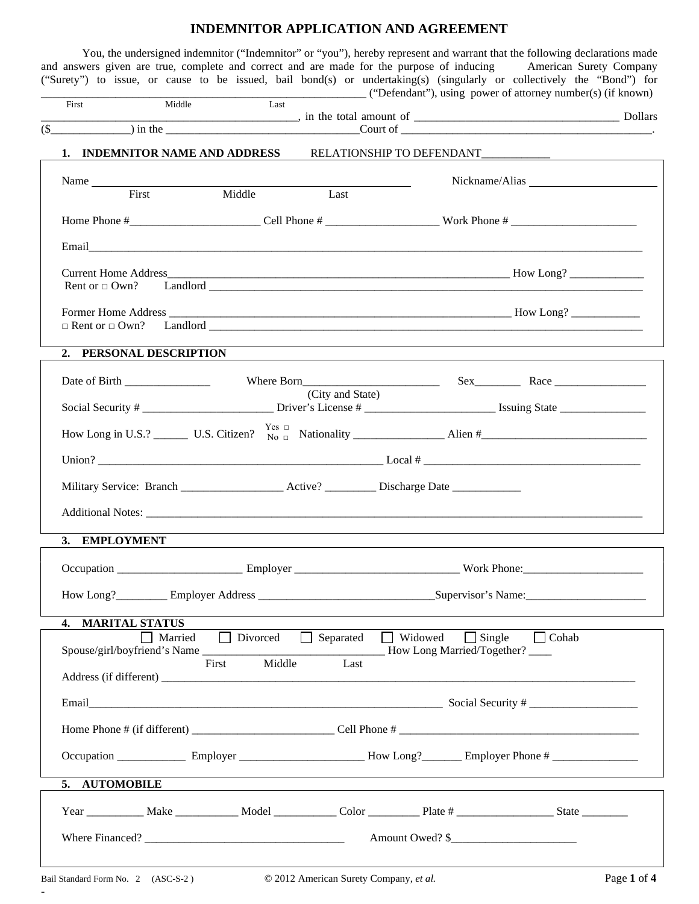## **INDEMNITOR APPLICATION AND AGREEMENT**

You, the undersigned indemnitor ("Indemnitor" or "you"), hereby represent and warrant that the following declarations made and answers given are true, complete and correct and are made for the purpose of inducing American Surety Company ("Surety") to issue, or cause to be issued, bail bond(s) or undertaking(s) (singularly or collectively the "Bond") for

|  | First<br>$\overline{\text{Cour of}}$ $\overline{\text{Cour of}}$                                                                                                                                                                    | Middle                                             | Last        |  |                 |  |                                                           |  |
|--|-------------------------------------------------------------------------------------------------------------------------------------------------------------------------------------------------------------------------------------|----------------------------------------------------|-------------|--|-----------------|--|-----------------------------------------------------------|--|
|  | 1. INDEMNITOR NAME AND ADDRESS RELATIONSHIP TO DEFENDANT________________________                                                                                                                                                    |                                                    |             |  |                 |  |                                                           |  |
|  | Name<br>First                                                                                                                                                                                                                       |                                                    | Middle Last |  |                 |  |                                                           |  |
|  |                                                                                                                                                                                                                                     |                                                    |             |  |                 |  |                                                           |  |
|  |                                                                                                                                                                                                                                     |                                                    |             |  |                 |  |                                                           |  |
|  |                                                                                                                                                                                                                                     |                                                    |             |  |                 |  |                                                           |  |
|  | 2. PERSONAL DESCRIPTION                                                                                                                                                                                                             |                                                    |             |  |                 |  |                                                           |  |
|  |                                                                                                                                                                                                                                     | Date of Birth ________________<br>(City and State) |             |  |                 |  |                                                           |  |
|  |                                                                                                                                                                                                                                     |                                                    |             |  |                 |  |                                                           |  |
|  |                                                                                                                                                                                                                                     |                                                    |             |  |                 |  |                                                           |  |
|  | Military Service: Branch _____________________Active? ____________ Discharge Date _________________<br>3. EMPLOYMENT                                                                                                                |                                                    |             |  |                 |  | <u> 1989 - John Stein, Amerikaansk politiker († 1989)</u> |  |
|  |                                                                                                                                                                                                                                     |                                                    |             |  |                 |  |                                                           |  |
|  |                                                                                                                                                                                                                                     |                                                    |             |  |                 |  |                                                           |  |
|  |                                                                                                                                                                                                                                     |                                                    |             |  |                 |  |                                                           |  |
|  | $\mathbf{4}$<br><b>MARITAL STATUS</b><br>Married<br>$\Box$ Divorced<br>$\Box$ Single<br>$\Box$ Cohab<br>$\Box$ Separated<br>$\Box$ Widowed<br>Spouse/girl/boyfriend's Name<br>How Long Married/Together?<br>Middle<br>Last<br>First |                                                    |             |  |                 |  |                                                           |  |
|  | Email Social Security # Social Security #                                                                                                                                                                                           |                                                    |             |  |                 |  |                                                           |  |
|  |                                                                                                                                                                                                                                     |                                                    |             |  |                 |  |                                                           |  |
|  |                                                                                                                                                                                                                                     |                                                    |             |  |                 |  |                                                           |  |
|  | <b>AUTOMOBILE</b><br>5.                                                                                                                                                                                                             |                                                    |             |  |                 |  |                                                           |  |
|  |                                                                                                                                                                                                                                     |                                                    |             |  |                 |  |                                                           |  |
|  |                                                                                                                                                                                                                                     |                                                    |             |  | Amount Owed? \$ |  |                                                           |  |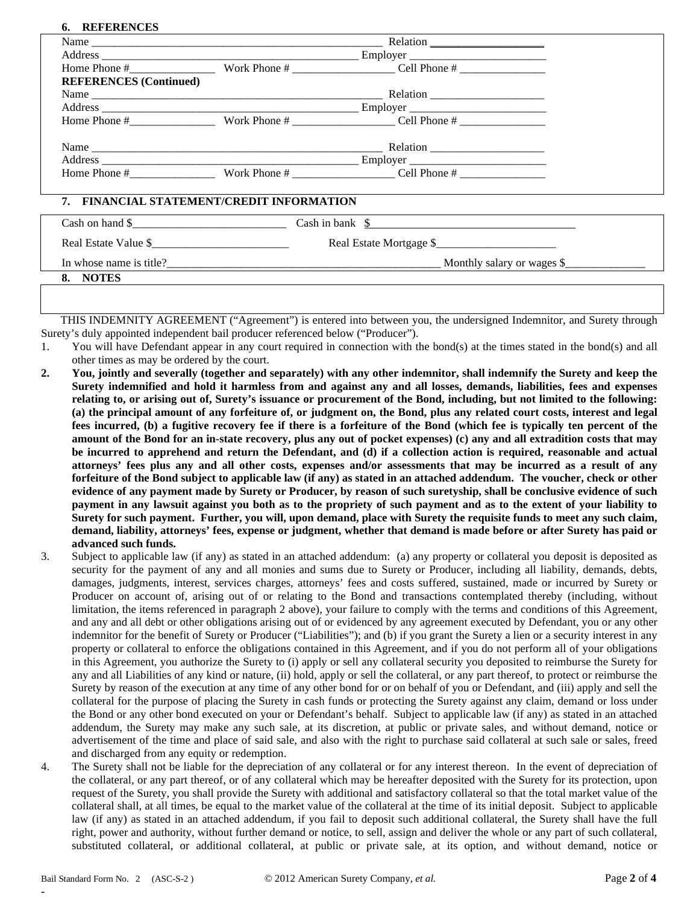## **6. REFERENCES**

**8. NOTES**

|                               |                                           | Home Phone $\#$ Work Phone $\#$ Cell Phone $\#$ Cell Phone $\#$                  |  |  |  |  |
|-------------------------------|-------------------------------------------|----------------------------------------------------------------------------------|--|--|--|--|
| <b>REFERENCES</b> (Continued) |                                           |                                                                                  |  |  |  |  |
|                               |                                           |                                                                                  |  |  |  |  |
|                               |                                           |                                                                                  |  |  |  |  |
|                               |                                           | Home Phone # Work Phone # Cell Phone # Cell Phone #                              |  |  |  |  |
|                               |                                           |                                                                                  |  |  |  |  |
|                               |                                           |                                                                                  |  |  |  |  |
|                               |                                           | Home Phone $\#$ Work Phone $\#$ Cell Phone $\#$                                  |  |  |  |  |
|                               | 7. FINANCIAL STATEMENT/CREDIT INFORMATION |                                                                                  |  |  |  |  |
|                               |                                           | Cash on hand $\frac{1}{2}$ Cash in bank $\frac{1}{2}$ Cash in bank $\frac{1}{2}$ |  |  |  |  |
|                               |                                           | Real Estate Mortgage \$                                                          |  |  |  |  |
|                               | In whose name is title?                   | Monthly salary or wages \$                                                       |  |  |  |  |

THIS INDEMNITY AGREEMENT ("Agreement") is entered into between you, the undersigned Indemnitor, and Surety through

- Surety's duly appointed independent bail producer referenced below ("Producer"). 1. You will have Defendant appear in any court required in connection with the bond(s) at the times stated in the bond(s) and all other times as may be ordered by the court.
- **2. You, jointly and severally (together and separately) with any other indemnitor, shall indemnify the Surety and keep the Surety indemnified and hold it harmless from and against any and all losses, demands, liabilities, fees and expenses relating to, or arising out of, Surety's issuance or procurement of the Bond, including, but not limited to the following: (a) the principal amount of any forfeiture of, or judgment on, the Bond, plus any related court costs, interest and legal fees incurred, (b) a fugitive recovery fee if there is a forfeiture of the Bond (which fee is typically ten percent of the amount of the Bond for an in-state recovery, plus any out of pocket expenses) (c) any and all extradition costs that may be incurred to apprehend and return the Defendant, and (d) if a collection action is required, reasonable and actual attorneys' fees plus any and all other costs, expenses and/or assessments that may be incurred as a result of any forfeiture of the Bond subject to applicable law (if any) as stated in an attached addendum. The voucher, check or other evidence of any payment made by Surety or Producer, by reason of such suretyship, shall be conclusive evidence of such payment in any lawsuit against you both as to the propriety of such payment and as to the extent of your liability to Surety for such payment. Further, you will, upon demand, place with Surety the requisite funds to meet any such claim, demand, liability, attorneys' fees, expense or judgment, whether that demand is made before or after Surety has paid or advanced such funds.**
- 3. Subject to applicable law (if any) as stated in an attached addendum: (a) any property or collateral you deposit is deposited as security for the payment of any and all monies and sums due to Surety or Producer, including all liability, demands, debts, damages, judgments, interest, services charges, attorneys' fees and costs suffered, sustained, made or incurred by Surety or Producer on account of, arising out of or relating to the Bond and transactions contemplated thereby (including, without limitation, the items referenced in paragraph 2 above), your failure to comply with the terms and conditions of this Agreement, and any and all debt or other obligations arising out of or evidenced by any agreement executed by Defendant, you or any other indemnitor for the benefit of Surety or Producer ("Liabilities"); and (b) if you grant the Surety a lien or a security interest in any property or collateral to enforce the obligations contained in this Agreement, and if you do not perform all of your obligations in this Agreement, you authorize the Surety to (i) apply or sell any collateral security you deposited to reimburse the Surety for any and all Liabilities of any kind or nature, (ii) hold, apply or sell the collateral, or any part thereof, to protect or reimburse the Surety by reason of the execution at any time of any other bond for or on behalf of you or Defendant, and (iii) apply and sell the collateral for the purpose of placing the Surety in cash funds or protecting the Surety against any claim, demand or loss under the Bond or any other bond executed on your or Defendant's behalf. Subject to applicable law (if any) as stated in an attached addendum, the Surety may make any such sale, at its discretion, at public or private sales, and without demand, notice or advertisement of the time and place of said sale, and also with the right to purchase said collateral at such sale or sales, freed and discharged from any equity or redemption.
- 4. The Surety shall not be liable for the depreciation of any collateral or for any interest thereon. In the event of depreciation of the collateral, or any part thereof, or of any collateral which may be hereafter deposited with the Surety for its protection, upon request of the Surety, you shall provide the Surety with additional and satisfactory collateral so that the total market value of the collateral shall, at all times, be equal to the market value of the collateral at the time of its initial deposit. Subject to applicable law (if any) as stated in an attached addendum, if you fail to deposit such additional collateral, the Surety shall have the full right, power and authority, without further demand or notice, to sell, assign and deliver the whole or any part of such collateral, substituted collateral, or additional collateral, at public or private sale, at its option, and without demand, notice or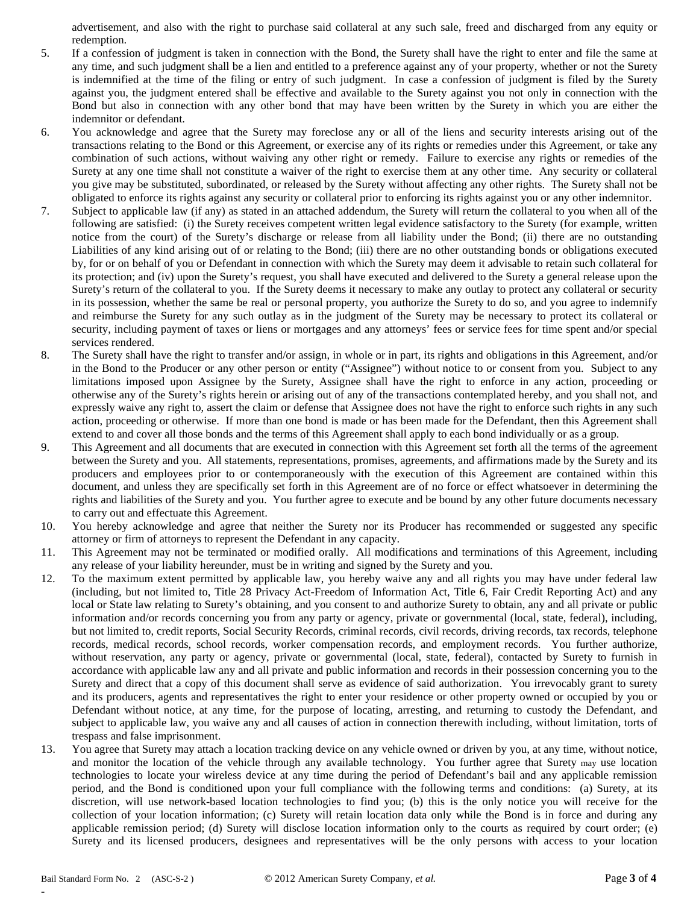advertisement, and also with the right to purchase said collateral at any such sale, freed and discharged from any equity or redemption.

- 5. If a confession of judgment is taken in connection with the Bond, the Surety shall have the right to enter and file the same at any time, and such judgment shall be a lien and entitled to a preference against any of your property, whether or not the Surety is indemnified at the time of the filing or entry of such judgment. In case a confession of judgment is filed by the Surety against you, the judgment entered shall be effective and available to the Surety against you not only in connection with the Bond but also in connection with any other bond that may have been written by the Surety in which you are either the indemnitor or defendant.
- 6. You acknowledge and agree that the Surety may foreclose any or all of the liens and security interests arising out of the transactions relating to the Bond or this Agreement, or exercise any of its rights or remedies under this Agreement, or take any combination of such actions, without waiving any other right or remedy. Failure to exercise any rights or remedies of the Surety at any one time shall not constitute a waiver of the right to exercise them at any other time. Any security or collateral you give may be substituted, subordinated, or released by the Surety without affecting any other rights. The Surety shall not be obligated to enforce its rights against any security or collateral prior to enforcing its rights against you or any other indemnitor.
- 7. Subject to applicable law (if any) as stated in an attached addendum, the Surety will return the collateral to you when all of the following are satisfied: (i) the Surety receives competent written legal evidence satisfactory to the Surety (for example, written notice from the court) of the Surety's discharge or release from all liability under the Bond; (ii) there are no outstanding Liabilities of any kind arising out of or relating to the Bond; (iii) there are no other outstanding bonds or obligations executed by, for or on behalf of you or Defendant in connection with which the Surety may deem it advisable to retain such collateral for its protection; and (iv) upon the Surety's request, you shall have executed and delivered to the Surety a general release upon the Surety's return of the collateral to you. If the Surety deems it necessary to make any outlay to protect any collateral or security in its possession, whether the same be real or personal property, you authorize the Surety to do so, and you agree to indemnify and reimburse the Surety for any such outlay as in the judgment of the Surety may be necessary to protect its collateral or security, including payment of taxes or liens or mortgages and any attorneys' fees or service fees for time spent and/or special services rendered.
- 8. The Surety shall have the right to transfer and/or assign, in whole or in part, its rights and obligations in this Agreement, and/or in the Bond to the Producer or any other person or entity ("Assignee") without notice to or consent from you. Subject to any limitations imposed upon Assignee by the Surety, Assignee shall have the right to enforce in any action, proceeding or otherwise any of the Surety's rights herein or arising out of any of the transactions contemplated hereby, and you shall not, and expressly waive any right to, assert the claim or defense that Assignee does not have the right to enforce such rights in any such action, proceeding or otherwise. If more than one bond is made or has been made for the Defendant, then this Agreement shall extend to and cover all those bonds and the terms of this Agreement shall apply to each bond individually or as a group.
- 9. This Agreement and all documents that are executed in connection with this Agreement set forth all the terms of the agreement between the Surety and you. All statements, representations, promises, agreements, and affirmations made by the Surety and its producers and employees prior to or contemporaneously with the execution of this Agreement are contained within this document, and unless they are specifically set forth in this Agreement are of no force or effect whatsoever in determining the rights and liabilities of the Surety and you. You further agree to execute and be bound by any other future documents necessary to carry out and effectuate this Agreement.
- 10. You hereby acknowledge and agree that neither the Surety nor its Producer has recommended or suggested any specific attorney or firm of attorneys to represent the Defendant in any capacity.
- 11. This Agreement may not be terminated or modified orally. All modifications and terminations of this Agreement, including any release of your liability hereunder, must be in writing and signed by the Surety and you.
- 12. To the maximum extent permitted by applicable law, you hereby waive any and all rights you may have under federal law (including, but not limited to, Title 28 Privacy Act-Freedom of Information Act, Title 6, Fair Credit Reporting Act) and any local or State law relating to Surety's obtaining, and you consent to and authorize Surety to obtain, any and all private or public information and/or records concerning you from any party or agency, private or governmental (local, state, federal), including, but not limited to, credit reports, Social Security Records, criminal records, civil records, driving records, tax records, telephone records, medical records, school records, worker compensation records, and employment records. You further authorize, without reservation, any party or agency, private or governmental (local, state, federal), contacted by Surety to furnish in accordance with applicable law any and all private and public information and records in their possession concerning you to the Surety and direct that a copy of this document shall serve as evidence of said authorization. You irrevocably grant to surety and its producers, agents and representatives the right to enter your residence or other property owned or occupied by you or Defendant without notice, at any time, for the purpose of locating, arresting, and returning to custody the Defendant, and subject to applicable law, you waive any and all causes of action in connection therewith including, without limitation, torts of trespass and false imprisonment.
- 13. You agree that Surety may attach a location tracking device on any vehicle owned or driven by you, at any time, without notice, and monitor the location of the vehicle through any available technology. You further agree that Surety may use location technologies to locate your wireless device at any time during the period of Defendant's bail and any applicable remission period, and the Bond is conditioned upon your full compliance with the following terms and conditions: (a) Surety, at its discretion, will use network-based location technologies to find you; (b) this is the only notice you will receive for the collection of your location information; (c) Surety will retain location data only while the Bond is in force and during any applicable remission period; (d) Surety will disclose location information only to the courts as required by court order; (e) Surety and its licensed producers, designees and representatives will be the only persons with access to your location